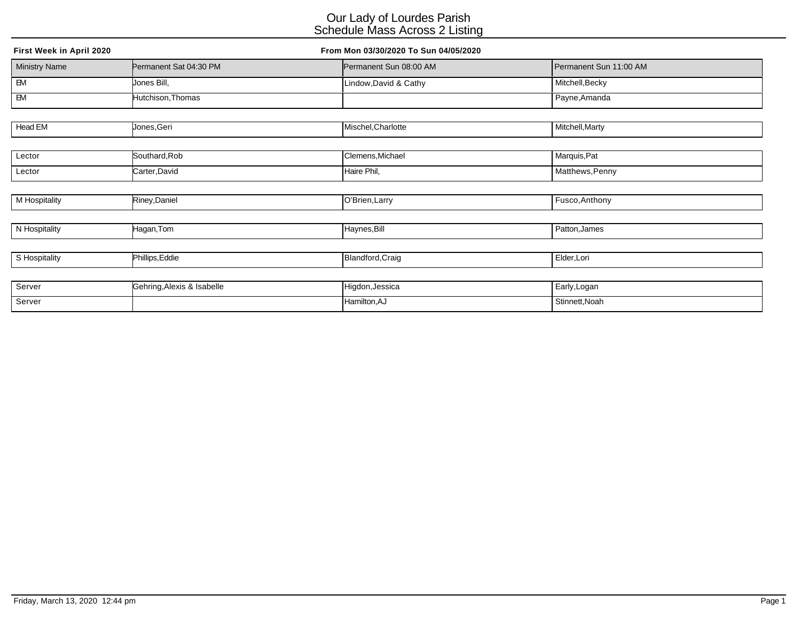| First Week in April 2020 |                            | From Mon 03/30/2020 To Sun 04/05/2020 |                        |  |  |
|--------------------------|----------------------------|---------------------------------------|------------------------|--|--|
| <b>Ministry Name</b>     | Permanent Sat 04:30 PM     | Permanent Sun 08:00 AM                | Permanent Sun 11:00 AM |  |  |
| $\overline{B}$           | Jones Bill,                | Lindow, David & Cathy                 | Mitchell, Becky        |  |  |
| $\overline{B}$           | Hutchison, Thomas          |                                       | Payne, Amanda          |  |  |
|                          |                            |                                       |                        |  |  |
| Head EM                  | Jones, Geri                | Mischel, Charlotte                    | Mitchell, Marty        |  |  |
|                          |                            |                                       |                        |  |  |
| Lector                   | Southard, Rob              | Clemens, Michael                      | Marquis, Pat           |  |  |
| Lector                   | Carter, David              | Haire Phil,                           | Matthews, Penny        |  |  |
|                          |                            |                                       |                        |  |  |
| M Hospitality            | Riney, Daniel              | O'Brien, Larry                        | Fusco, Anthony         |  |  |
|                          |                            |                                       |                        |  |  |
| N Hospitality            | Hagan, Tom                 | Haynes, Bill                          | Patton, James          |  |  |
|                          |                            |                                       |                        |  |  |
| S Hospitality            | Phillips, Eddie            | Blandford, Craig                      | Elder, Lori            |  |  |
|                          |                            |                                       |                        |  |  |
| Server                   | Gehring, Alexis & Isabelle | Higdon, Jessica                       | Early, Logan           |  |  |

Server Hamilton,AJ Stinnett,Noah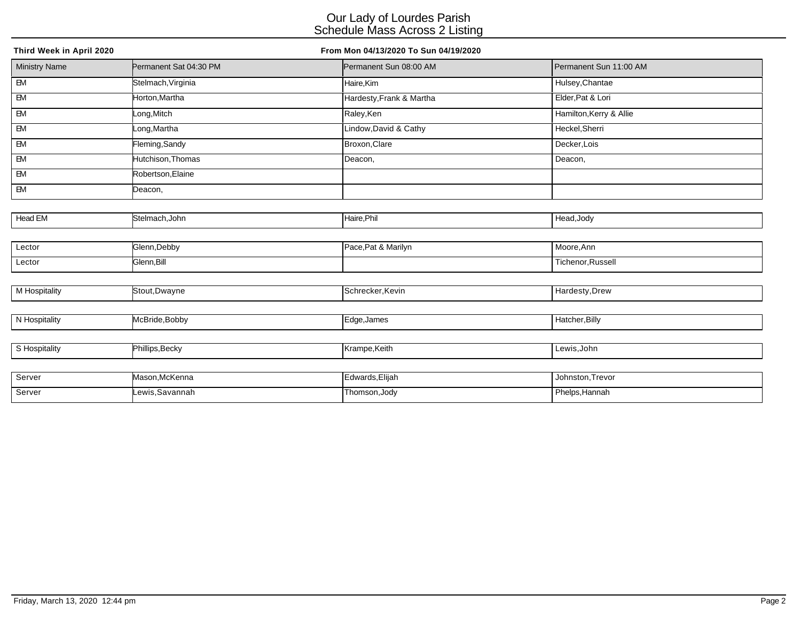| Third Week in April 2020 |                        | From Mon 04/13/2020 To Sun 04/19/2020 |                         |
|--------------------------|------------------------|---------------------------------------|-------------------------|
| <b>Ministry Name</b>     | Permanent Sat 04:30 PM | Permanent Sun 08:00 AM                | Permanent Sun 11:00 AM  |
| $\overline{B}$           | Stelmach, Virginia     | Haire,Kim                             | Hulsey, Chantae         |
| $-M$                     | Horton, Martha         | Hardesty, Frank & Martha              | Elder, Pat & Lori       |
| $\overline{BM}$          | Long, Mitch            | Raley, Ken                            | Hamilton, Kerry & Allie |
| EM                       | Long,Martha            | Lindow, David & Cathy                 | Heckel, Sherri          |
| <b>EM</b>                | Fleming, Sandy         | Broxon, Clare                         | Decker, Lois            |
| $\overline{\mathsf{B}}$  | Hutchison, Thomas      | Deacon,                               | Deacon,                 |
| <b>EM</b>                | Robertson, Elaine      |                                       |                         |
| EM                       | Deacon,                |                                       |                         |
|                          |                        |                                       |                         |
| Head EM                  | Stelmach, John         | Haire, Phil                           | Head, Jody              |
|                          |                        |                                       |                         |
| Lector                   | Glenn, Debby           | Pace, Pat & Marilyn                   | Moore, Ann              |
| Lector                   | Glenn, Bill            |                                       | Tichenor, Russell       |
|                          |                        |                                       |                         |
| M Hospitality            | Stout, Dwayne          | Schrecker, Kevin                      | Hardesty, Drew          |
|                          |                        |                                       |                         |
| N Hospitality            | McBride, Bobby         | Edge, James                           | Hatcher, Billy          |
|                          |                        |                                       |                         |
| S Hospitality            | Phillips, Becky        | Krampe, Keith                         | Lewis, John             |
|                          |                        |                                       |                         |
| Server                   | Mason, McKenna         | Edwards, Elijah                       | Johnston, Trevor        |
| Server                   | Lewis, Savannah        | Thomson, Jody                         | Phelps, Hannah          |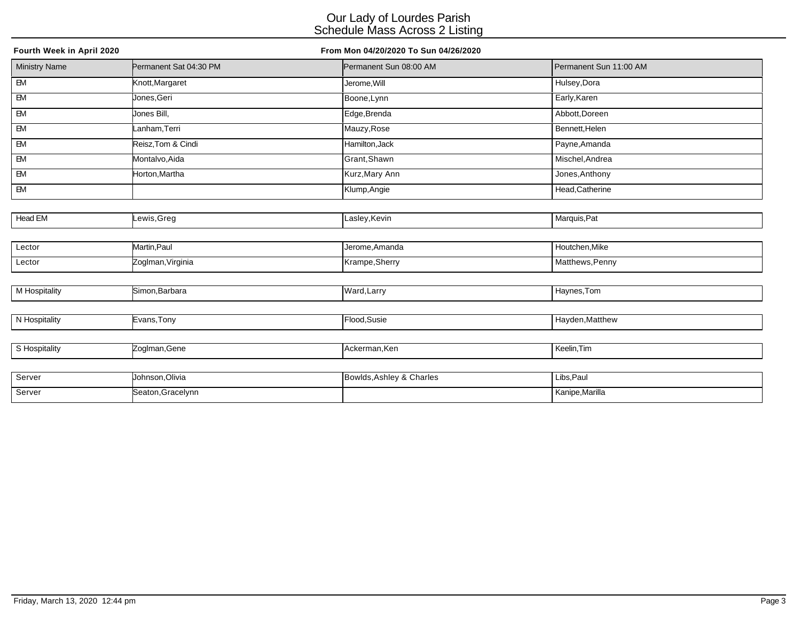| Fourth Week in April 2020 |                        | From Mon 04/20/2020 To Sun 04/26/2020 |                        |
|---------------------------|------------------------|---------------------------------------|------------------------|
| <b>Ministry Name</b>      | Permanent Sat 04:30 PM | Permanent Sun 08:00 AM                | Permanent Sun 11:00 AM |
| $\overline{B}$            | Knott, Margaret        | Jerome, Will                          | Hulsey, Dora           |
| $\overline{\mathsf{B}}$   | Jones, Geri            | Boone, Lynn                           | Early, Karen           |
| EM                        | Jones Bill,            | Edge, Brenda                          | Abbott, Doreen         |
| EM                        | _anham,Terri           | Mauzy, Rose                           | Bennett, Helen         |
| EM                        | Reisz, Tom & Cindi     | Hamilton, Jack                        | Payne, Amanda          |
| $\overline{\mathsf{B}}$   | Montalvo, Aida         | Grant, Shawn                          | Mischel, Andrea        |
| EM                        | Horton, Martha         | Kurz, Mary Ann                        | Jones, Anthony         |
| <b>EM</b>                 |                        | Klump, Angie                          | Head, Catherine        |
|                           |                        |                                       |                        |
| <b>Head EM</b>            | _ewis,Greg             | Lasley, Kevin                         | Marquis, Pat           |
|                           |                        |                                       |                        |
| Lector                    | Martin, Paul           | Jerome, Amanda                        | Houtchen, Mike         |
| Lector                    | Zoglman, Virginia      | Krampe, Sherry                        | Matthews, Penny        |
|                           |                        |                                       |                        |
| M Hospitality             | Simon, Barbara         | Ward, Larry                           | Haynes, Tom            |
|                           |                        |                                       |                        |
| N Hospitality             | Evans, Tony            | Flood, Susie                          | Hayden, Matthew        |
|                           |                        |                                       |                        |
| S Hospitality             | Zoglman, Gene          | Ackerman, Ken                         | Keelin, Tim            |
|                           |                        |                                       |                        |
| Server                    | Johnson, Olivia        | Bowlds, Ashley & Charles              | Libs, Paul             |

Server Seaton,Gracelynn **Seaton,Gracelynn** Kanipe,Marilla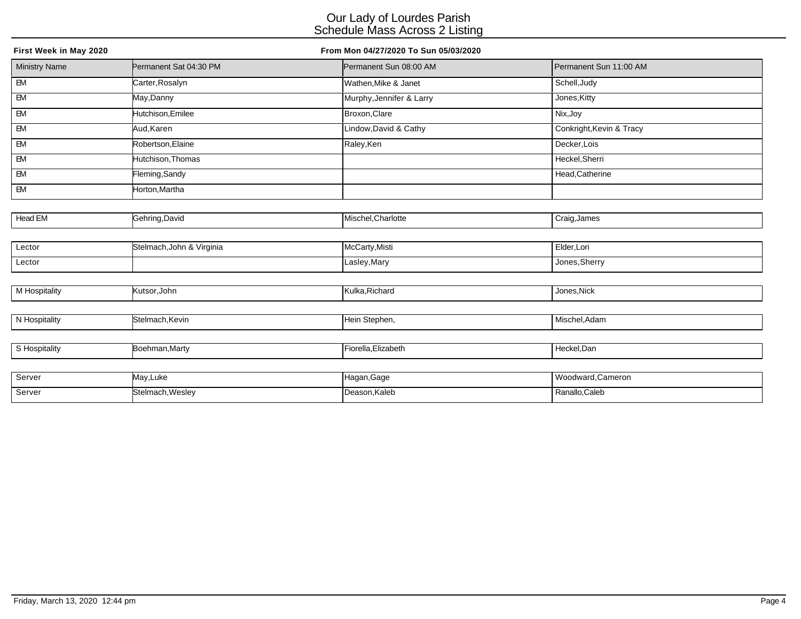| First Week in May 2020 |                           | From Mon 04/27/2020 To Sun 05/03/2020 |                          |
|------------------------|---------------------------|---------------------------------------|--------------------------|
| <b>Ministry Name</b>   | Permanent Sat 04:30 PM    | Permanent Sun 08:00 AM                | Permanent Sun 11:00 AM   |
| $\overline{BM}$        | Carter, Rosalyn           | Wathen, Mike & Janet                  | Schell, Judy             |
| <b>EM</b>              | May,Danny                 | Murphy, Jennifer & Larry              | Jones, Kitty             |
| $\overline{BM}$        | Hutchison, Emilee         | Broxon, Clare                         | Nix, Joy                 |
| EM                     | Aud,Karen                 | Lindow, David & Cathy                 | Conkright, Kevin & Tracy |
| ${\sf EM}$             | Robertson, Elaine         | Raley, Ken                            | Decker, Lois             |
| <b>EM</b>              | Hutchison, Thomas         |                                       | Heckel, Sherri           |
| EM                     | Fleming, Sandy            |                                       | Head, Catherine          |
| $E$                    | Horton, Martha            |                                       |                          |
|                        |                           |                                       |                          |
| Head EM                | Gehring, David            | Mischel, Charlotte                    | Craig, James             |
|                        |                           |                                       |                          |
| Lector                 | Stelmach, John & Virginia | McCarty, Misti                        | Elder, Lori              |
| Lector                 |                           | Lasley, Mary                          | Jones, Sherry            |
|                        |                           |                                       |                          |
| <b>M</b> Hospitality   | Kutsor, John              | Kulka, Richard                        | Jones, Nick              |
|                        |                           |                                       |                          |
| N Hospitality          | Stelmach, Kevin           | Hein Stephen,                         | Mischel, Adam            |
|                        |                           |                                       |                          |
| S Hospitality          | Boehman, Marty            | Fiorella, Elizabeth                   | Heckel, Dan              |
|                        |                           |                                       |                          |
| Server                 | May,Luke                  | Hagan, Gage                           | Woodward, Cameron        |

exter Stelmach, Wesley **Stelmach, Wesley Consumer Consumer Consumer Consumer Consumer Consumer Consumer Consumer Consumer Consumer Consumer Consumer Consumer Consumer Consumer Consumer Consumer Consumer Consumer Consumer C**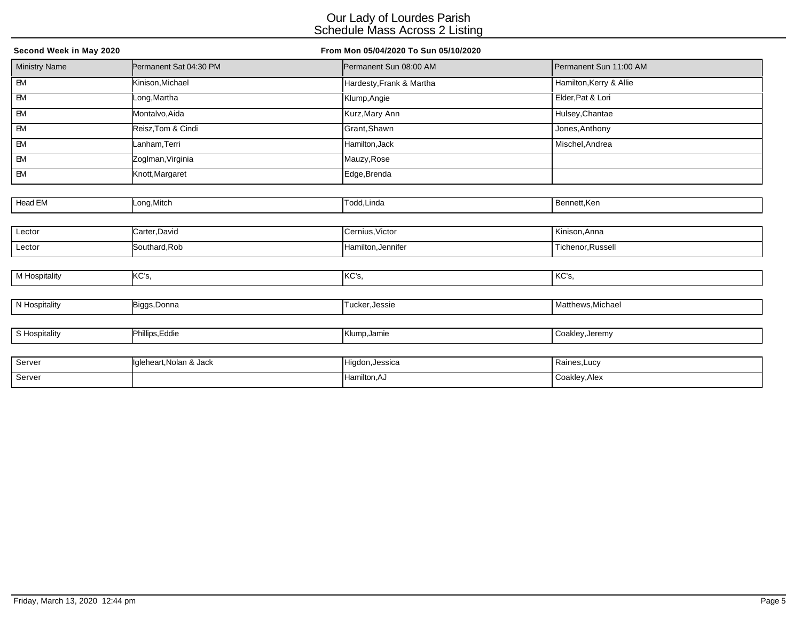| Second Week in May 2020 |                         | From Mon 05/04/2020 To Sun 05/10/2020 |                         |  |
|-------------------------|-------------------------|---------------------------------------|-------------------------|--|
| <b>Ministry Name</b>    | Permanent Sat 04:30 PM  | Permanent Sun 08:00 AM                | Permanent Sun 11:00 AM  |  |
| $\overline{B}$          | Kinison, Michael        | Hardesty, Frank & Martha              | Hamilton, Kerry & Allie |  |
| $\overline{\mathsf{B}}$ | Long, Martha            | Klump, Angie                          | Elder, Pat & Lori       |  |
| EM                      | Montalvo, Aida          | Kurz, Mary Ann                        | Hulsey, Chantae         |  |
| $\overline{\mathsf{B}}$ | Reisz, Tom & Cindi      | Grant, Shawn                          | Jones, Anthony          |  |
| EM                      | _anham,Terri            | Hamilton, Jack                        | Mischel, Andrea         |  |
| EM                      | Zoglman, Virginia       | Mauzy, Rose                           |                         |  |
| $\overline{\mathsf{B}}$ | Knott, Margaret         | Edge, Brenda                          |                         |  |
|                         |                         |                                       |                         |  |
| Head EM                 | Long, Mitch             | Todd, Linda                           | Bennett, Ken            |  |
|                         |                         |                                       |                         |  |
| Lector                  | Carter, David           | Cernius, Victor                       | Kinison, Anna           |  |
| Lector                  | Southard, Rob           | Hamilton, Jennifer                    | Tichenor, Russell       |  |
|                         |                         |                                       |                         |  |
| <b>M</b> Hospitality    | KC's,                   | KC's,                                 | KC's,                   |  |
|                         |                         |                                       |                         |  |
| N Hospitality           | Biggs, Donna            | Tucker, Jessie                        | Matthews, Michael       |  |
|                         |                         |                                       |                         |  |
| S Hospitality           | Phillips, Eddie         | Klump, Jamie                          | Coakley, Jeremy         |  |
|                         |                         |                                       |                         |  |
| Server                  | Igleheart, Nolan & Jack | Higdon, Jessica                       | Raines, Lucy            |  |
| Server                  |                         | Hamilton, AJ                          | Coakley, Alex           |  |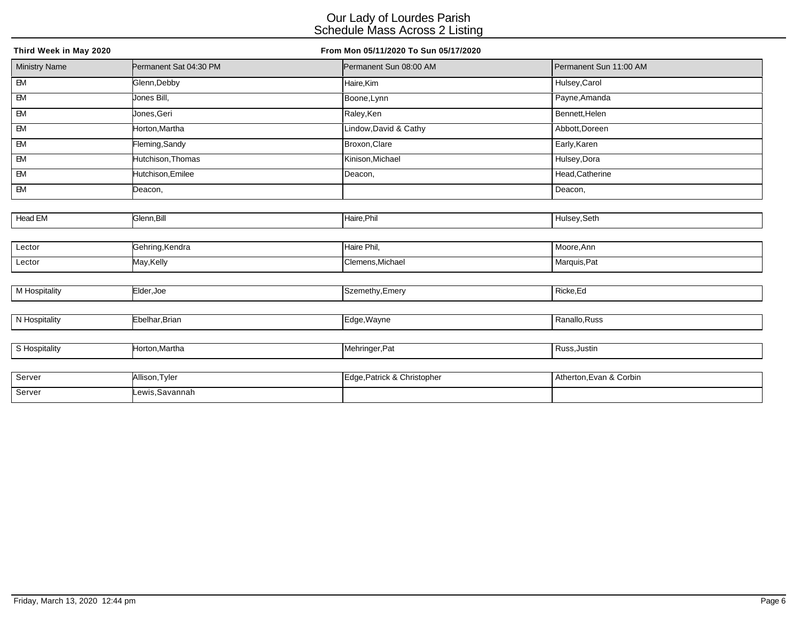| Third Week in May 2020  |                        | From Mon 05/11/2020 To Sun 05/17/2020 |                        |
|-------------------------|------------------------|---------------------------------------|------------------------|
| <b>Ministry Name</b>    | Permanent Sat 04:30 PM | Permanent Sun 08:00 AM                | Permanent Sun 11:00 AM |
| $\overline{\mathbf{B}}$ | Glenn, Debby           | Haire,Kim                             | Hulsey, Carol          |
| $\overline{\mathsf{B}}$ | Jones Bill,            | Boone, Lynn                           | Payne, Amanda          |
| $\overline{\mathbf{B}}$ | Jones, Geri            | Raley, Ken                            | Bennett, Helen         |
| EM                      | Horton, Martha         | Lindow, David & Cathy                 | Abbott, Doreen         |
| $\overline{\mathsf{B}}$ | Fleming,Sandy          | Broxon, Clare                         | Early, Karen           |
| EM                      | Hutchison, Thomas      | Kinison, Michael                      | Hulsey, Dora           |
| $\overline{\mathsf{B}}$ | Hutchison, Emilee      | Deacon,                               | Head, Catherine        |
| $\overline{\mathsf{B}}$ | Deacon,                |                                       | Deacon,                |
|                         |                        |                                       |                        |
| Head EM                 | Glenn, Bill            | Haire, Phil                           | Hulsey, Seth           |
|                         |                        |                                       |                        |
| Lector                  | Gehring, Kendra        | Haire Phil,                           | Moore, Ann             |
| Lector                  | May, Kelly             | Clemens, Michael                      | Marquis, Pat           |
|                         |                        |                                       |                        |
| M Hospitality           | Elder, Joe             | Szemethy, Emery                       | Ricke, Ed              |
|                         |                        |                                       |                        |
| N Hospitality           | Ebelhar, Brian         | Edge, Wayne                           | Ranallo, Russ          |
|                         |                        |                                       |                        |
| S Hospitality           | Horton, Martha         | Mehringer, Pat                        | Russ, Justin           |
|                         |                        |                                       |                        |
| Server                  | Allienn Tyler          | Edge Patrick & Christopher            | Atherton Evan & Corbin |

| Server | uson.                           | & Christopher | Atherton, Evan & Corbin |
|--------|---------------------------------|---------------|-------------------------|
|        | ∟I vlei                         | Patrick &     |                         |
|        |                                 |               |                         |
| Server | .Savannah<br>$\bigcap M \cup C$ |               |                         |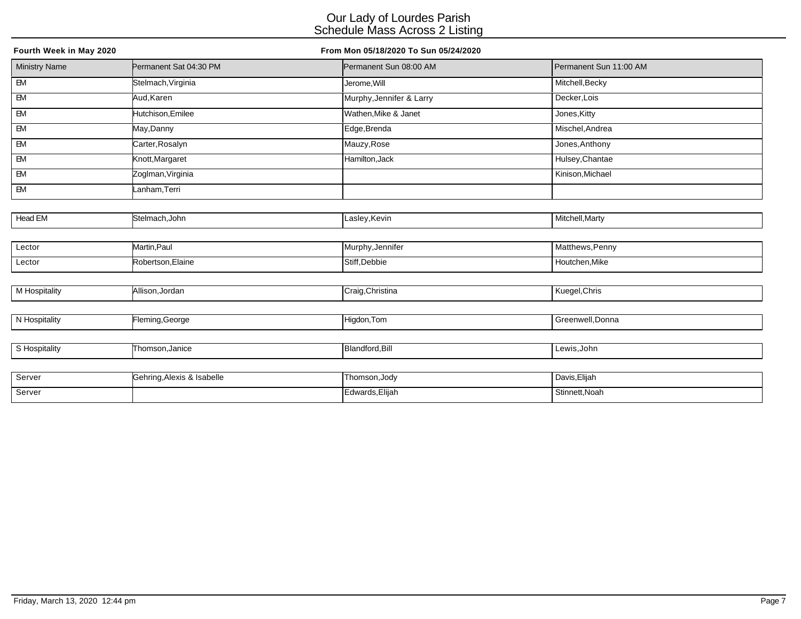| Fourth Week in May 2020 |                            | From Mon 05/18/2020 To Sun 05/24/2020 |                        |  |  |
|-------------------------|----------------------------|---------------------------------------|------------------------|--|--|
| <b>Ministry Name</b>    | Permanent Sat 04:30 PM     | Permanent Sun 08:00 AM                | Permanent Sun 11:00 AM |  |  |
| $\overline{B}$          | Stelmach, Virginia         | Jerome, Will                          | Mitchell, Becky        |  |  |
| $-M$                    | Aud, Karen                 | Murphy, Jennifer & Larry              | Decker, Lois           |  |  |
| $\overline{B}$          | Hutchison, Emilee          | Wathen, Mike & Janet                  | Jones, Kitty           |  |  |
| <b>EM</b>               | May,Danny                  | Edge,Brenda                           | Mischel, Andrea        |  |  |
| EM                      | Carter, Rosalyn            | Mauzy, Rose                           | Jones, Anthony         |  |  |
| $\overline{\mathsf{B}}$ | Knott, Margaret            | Hamilton, Jack                        | Hulsey, Chantae        |  |  |
| EM                      | Zoglman, Virginia          |                                       | Kinison, Michael       |  |  |
| EM                      | Lanham,Terri               |                                       |                        |  |  |
|                         |                            |                                       |                        |  |  |
| Head EM                 | Stelmach, John             | Lasley, Kevin                         | Mitchell, Marty        |  |  |
|                         |                            |                                       |                        |  |  |
| Lector                  | Martin, Paul               | Murphy, Jennifer                      | Matthews, Penny        |  |  |
| Lector                  | Robertson, Elaine          | Stiff, Debbie                         | Houtchen, Mike         |  |  |
|                         |                            |                                       |                        |  |  |
| M Hospitality           | Allison, Jordan            | Craig, Christina                      | Kuegel, Chris          |  |  |
|                         |                            |                                       |                        |  |  |
| N Hospitality           | Fleming, George            | Higdon, Tom                           | Greenwell, Donna       |  |  |
|                         |                            |                                       |                        |  |  |
| S Hospitality           | Thomson, Janice            | Blandford, Bill                       | Lewis, John            |  |  |
|                         |                            |                                       |                        |  |  |
| Server                  | Gehring, Alexis & Isabelle | Thomson, Jody                         | Davis, Elijah          |  |  |

erver Edwards,Elijah Stinnett,Noah Stinnett,Noah Stinnett,Noah Stinnett,Noah Stinnett,Noah Stinnett,Noah Stinnett,Noah Stinnett,Noah Stinnett,Noah Stinnett,Noah Stinnett,Noah Stinnett,Noah Stinnett,Noah Stinnett,Noah Stinn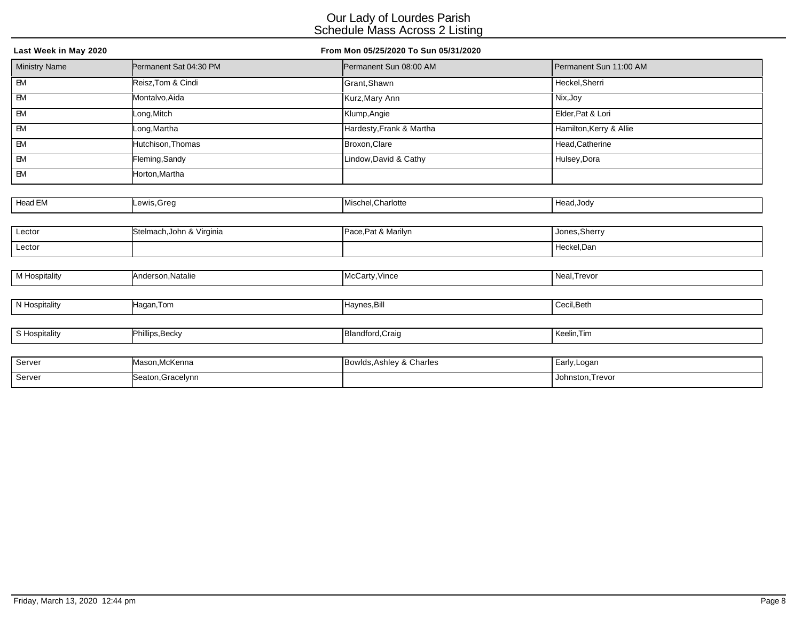| Last Week in May 2020   |                           | From Mon 05/25/2020 To Sun 05/31/2020 |                         |
|-------------------------|---------------------------|---------------------------------------|-------------------------|
| <b>Ministry Name</b>    | Permanent Sat 04:30 PM    | Permanent Sun 08:00 AM                | Permanent Sun 11:00 AM  |
| E                       | Reisz, Tom & Cindi        | Grant, Shawn                          | Heckel, Sherri          |
| $\overline{EM}$         | Montalvo, Aida            | Kurz, Mary Ann                        | Nix, Joy                |
| $\overline{\mathsf{B}}$ | Long, Mitch               | Klump, Angie                          | Elder, Pat & Lori       |
| EM                      | _ong,Martha               | Hardesty, Frank & Martha              | Hamilton, Kerry & Allie |
| EM                      | Hutchison, Thomas         | Broxon, Clare                         | Head, Catherine         |
| EM                      | Fleming, Sandy            | Lindow, David & Cathy                 | Hulsey, Dora            |
| EM                      | Horton, Martha            |                                       |                         |
|                         |                           |                                       |                         |
| Head EM                 | ewis, Greg                | Mischel, Charlotte                    | Head, Jody              |
|                         |                           |                                       |                         |
| Lector                  | Stelmach, John & Virginia | Pace, Pat & Marilyn                   | Jones, Sherry           |
| Lector                  |                           |                                       | Heckel, Dan             |
|                         |                           |                                       |                         |
| M Hospitality           | Anderson, Natalie         | McCarty, Vince                        | Neal, Trevor            |
|                         |                           |                                       |                         |
| N Hospitality           | Hagan,Tom                 | Haynes, Bill                          | Cecil, Beth             |
|                         |                           |                                       |                         |
| S Hospitality           | Phillips, Becky           | Blandford, Craig                      | Keelin, Tim             |
|                         |                           |                                       |                         |
| Server                  | Mason, McKenna            | Bowlds, Ashley & Charles              | Early, Logan            |
| Server                  | Seaton, Gracelynn         |                                       | Johnston, Trevor        |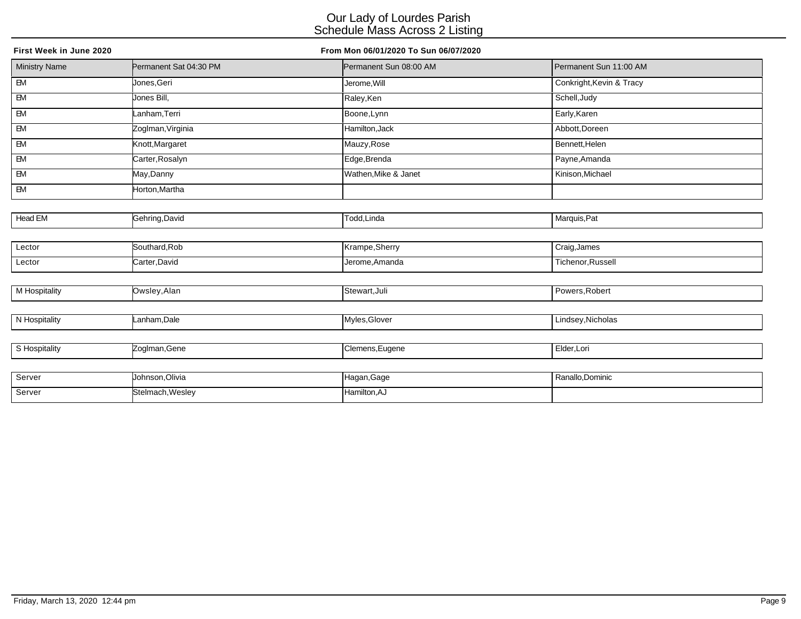| First Week in June 2020 |                        | From Mon 06/01/2020 To Sun 06/07/2020 |                          |
|-------------------------|------------------------|---------------------------------------|--------------------------|
| <b>Ministry Name</b>    | Permanent Sat 04:30 PM | Permanent Sun 08:00 AM                | Permanent Sun 11:00 AM   |
| $\overline{BM}$         | Uones.Geri             | Jerome, Will                          | Conkright, Kevin & Tracy |
| $\overline{\mathsf{B}}$ | Jones Bill,            | Raley, Ken                            | Schell, Judy             |
| EM                      | Lanham, Terri          | Boone, Lynn                           | Early, Karen             |
| EM                      | Zoglman, Virginia      | Hamilton, Jack                        | Abbott, Doreen           |
| ${\sf EM}$              | Knott, Margaret        | Mauzy, Rose                           | Bennett, Helen           |
| $\mathsf{EM}$           | Carter, Rosalyn        | Edge, Brenda                          | Payne, Amanda            |
| EM                      | May,Danny              | Wathen, Mike & Janet                  | Kinison, Michael         |
| $E$                     | Horton,Martha          |                                       |                          |
|                         |                        |                                       |                          |
| Head EM                 | Gehring, David         | Todd, Linda                           | Marquis, Pat             |
|                         |                        |                                       |                          |
| Lector                  | Southard, Rob          | Krampe, Sherry                        | Craig, James             |
| Lector                  | Carter, David          | Jerome, Amanda                        | Tichenor, Russell        |
|                         |                        |                                       |                          |
| M Hospitality           | Owsley, Alan           | Stewart, Juli                         | Powers, Robert           |
|                         |                        |                                       |                          |
| N Hospitality           | Lanham, Dale           | Myles, Glover                         | Lindsey, Nicholas        |
|                         |                        |                                       |                          |
| S Hospitality           | Zoglman, Gene          | Clemens, Eugene                       | Elder, Lori              |
|                         |                        |                                       |                          |
| Server                  | Johnson, Olivia        | Hagan, Gage                           | Ranallo, Dominic         |

Server Stelmach, Wesley Hamilton, AJ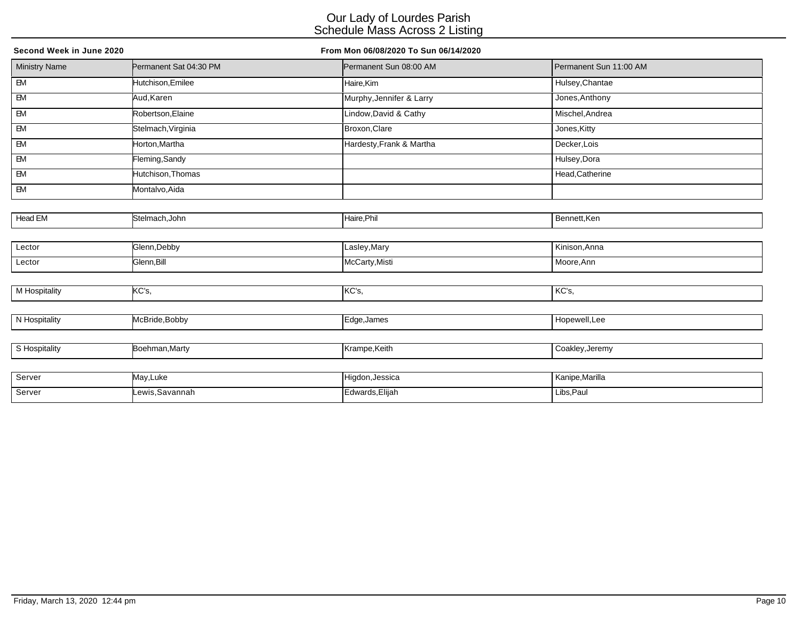| Second Week in June 2020 |                        | From Mon 06/08/2020 To Sun 06/14/2020 |                        |
|--------------------------|------------------------|---------------------------------------|------------------------|
| <b>Ministry Name</b>     | Permanent Sat 04:30 PM | Permanent Sun 08:00 AM                | Permanent Sun 11:00 AM |
| E                        | Hutchison, Emilee      | Haire, Kim                            | Hulsey, Chantae        |
| $\overline{EM}$          | Aud, Karen             | Murphy, Jennifer & Larry              | Jones, Anthony         |
| $\overline{\mathsf{B}}$  | Robertson, Elaine      | Lindow, David & Cathy                 | Mischel, Andrea        |
| $\overline{\mathsf{E}}$  | Stelmach, Virginia     | Broxon, Clare                         | Jones, Kitty           |
| ${\sf EM}$               | Horton, Martha         | Hardesty, Frank & Martha              | Decker, Lois           |
| EM                       | Fleming, Sandy         |                                       | Hulsey, Dora           |
| EM                       | Hutchison, Thomas      |                                       | Head, Catherine        |
| <b>EM</b>                | Montalvo, Aida         |                                       |                        |
|                          |                        |                                       |                        |
| Head EM                  | Stelmach, John         | Haire, Phil                           | Bennett, Ken           |
|                          |                        |                                       |                        |
| Lector                   | Glenn, Debby           | Lasley, Mary                          | Kinison, Anna          |
| Lector                   | Glenn, Bill            | McCarty, Misti                        | Moore, Ann             |
|                          |                        |                                       |                        |
| M Hospitality            | KC's,                  | KC's,                                 | KC's,                  |
|                          |                        |                                       |                        |
| N Hospitality            | McBride, Bobby         | Edge, James                           | Hopewell, Lee          |
|                          |                        |                                       |                        |
| S Hospitality            | Boehman, Marty         | Krampe, Keith                         | Coakley, Jeremy        |
|                          |                        |                                       |                        |
| Server                   | May, Luke              | Higdon, Jessica                       | Kanipe, Marilla        |

ewis,Savannah Lewis,Savannah Edwards,Elijah Libs,Paul Libs,Paul Libs,Paul Libs,Paul Libs,Paul Libs,Paul Libs,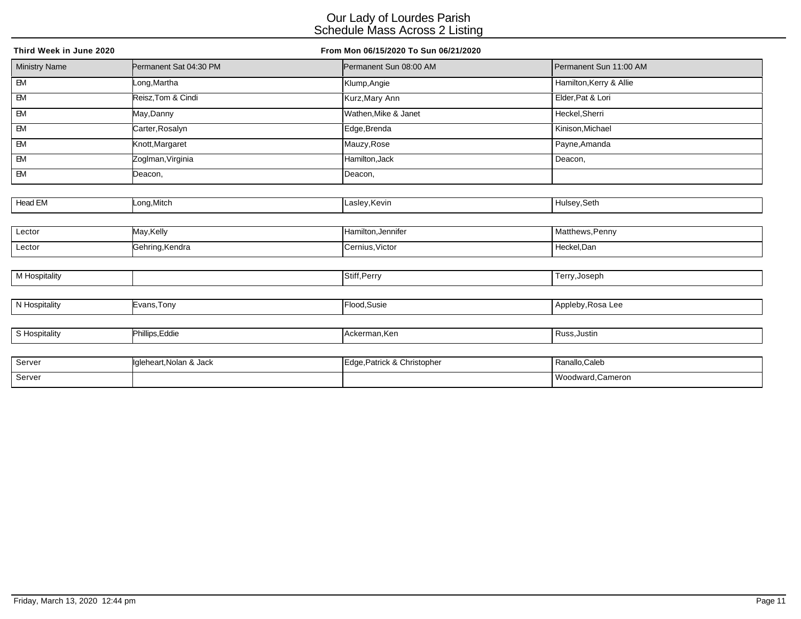| Third Week in June 2020 |                         | From Mon 06/15/2020 To Sun 06/21/2020 |                         |
|-------------------------|-------------------------|---------------------------------------|-------------------------|
| <b>Ministry Name</b>    | Permanent Sat 04:30 PM  | Permanent Sun 08:00 AM                | Permanent Sun 11:00 AM  |
| $\overline{B}$          | Long,Martha             | Klump, Angie                          | Hamilton, Kerry & Allie |
| $-M$                    | Reisz, Tom & Cindi      | Kurz, Mary Ann                        | Elder, Pat & Lori       |
| $\overline{EM}$         | May, Danny              | Wathen, Mike & Janet                  | Heckel, Sherri          |
| <b>EM</b>               | Carter, Rosalyn         | Edge, Brenda                          | Kinison, Michael        |
| EM                      | Knott, Margaret         | Mauzy, Rose                           | Payne, Amanda           |
| EM                      | Zoglman, Virginia       | Hamilton, Jack                        | Deacon,                 |
| $\overline{\mathsf{B}}$ | Deacon,                 | Deacon,                               |                         |
|                         |                         |                                       |                         |
| Head EM                 | Long, Mitch             | Lasley, Kevin                         | Hulsey, Seth            |
|                         |                         |                                       |                         |
| Lector                  | May,Kelly               | Hamilton, Jennifer                    | Matthews, Penny         |
| Lector                  | Gehring, Kendra         | Cernius, Victor                       | Heckel, Dan             |
|                         |                         |                                       |                         |
| M Hospitality           |                         | Stiff, Perry                          | Terry, Joseph           |
|                         |                         |                                       |                         |
| N Hospitality           | Evans, Tony             | Flood, Susie                          | Appleby, Rosa Lee       |
|                         |                         |                                       |                         |
| S Hospitality           | Phillips, Eddie         | Ackerman, Ken                         | Russ, Justin            |
|                         |                         |                                       |                         |
| Server                  | Igleheart, Nolan & Jack | Edge, Patrick & Christopher           | Ranallo, Caleb          |
| Server                  |                         |                                       | Woodward, Cameron       |